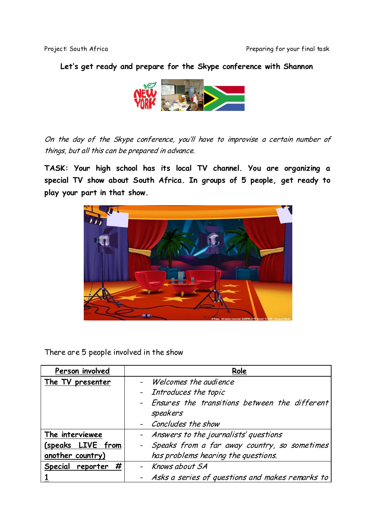## **Let's get ready and prepare for the Skype conference with Shannon**



On the day of the Skype conference, you'll have to improvise a certain number of things, but all this can be prepared in advance.

**TASK: Your high school has its local TV channel. You are organizing a special TV show about South Africa. In groups of 5 people, get ready to play your part in that show.**



There are 5 people involved in the show

| Person involved       | Role                                                        |
|-----------------------|-------------------------------------------------------------|
| The TV presenter      | - Welcomes the audience                                     |
|                       | - Introduces the topic                                      |
|                       | - Ensures the transitions between the different<br>speakers |
|                       | - Concludes the show                                        |
| The interviewee       | - Answers to the journalists' questions                     |
| (speaks LIVE from     | - Speaks from a far away country, so sometimes              |
| another country)      | has problems hearing the questions.                         |
| #<br>Special reporter | - Knows about SA                                            |
|                       | - Asks a series of questions and makes remarks to           |